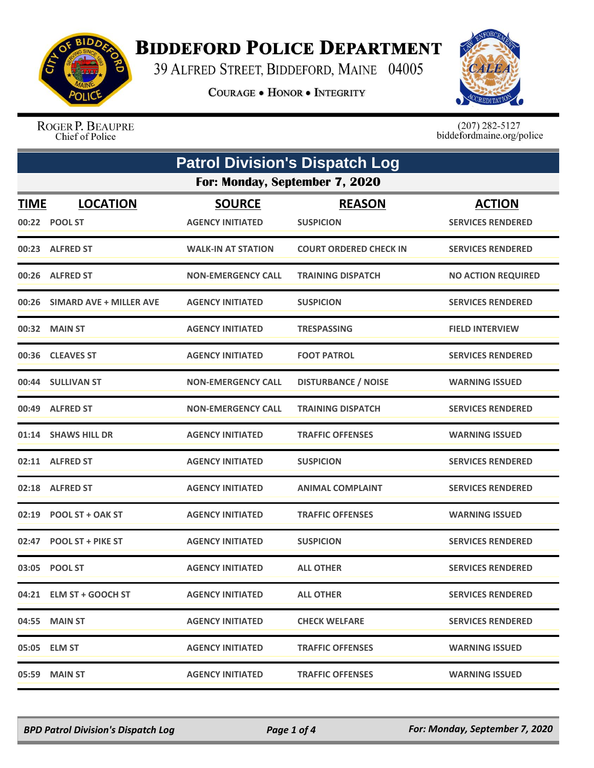

## **BIDDEFORD POLICE DEPARTMENT**

39 ALFRED STREET, BIDDEFORD, MAINE 04005

**COURAGE . HONOR . INTEGRITY** 



ROGER P. BEAUPRE Chief of Police

 $(207)$  282-5127<br>biddefordmaine.org/police

| <b>Patrol Division's Dispatch Log</b> |                                  |                                          |                                   |                                           |  |  |
|---------------------------------------|----------------------------------|------------------------------------------|-----------------------------------|-------------------------------------------|--|--|
| For: Monday, September 7, 2020        |                                  |                                          |                                   |                                           |  |  |
| <b>TIME</b>                           | <b>LOCATION</b><br>00:22 POOL ST | <b>SOURCE</b><br><b>AGENCY INITIATED</b> | <b>REASON</b><br><b>SUSPICION</b> | <b>ACTION</b><br><b>SERVICES RENDERED</b> |  |  |
|                                       | 00:23 ALFRED ST                  | <b>WALK-IN AT STATION</b>                | <b>COURT ORDERED CHECK IN</b>     | <b>SERVICES RENDERED</b>                  |  |  |
|                                       | 00:26 ALFRED ST                  | <b>NON-EMERGENCY CALL</b>                | <b>TRAINING DISPATCH</b>          | <b>NO ACTION REQUIRED</b>                 |  |  |
| 00:26                                 | SIMARD AVE + MILLER AVE          | <b>AGENCY INITIATED</b>                  | <b>SUSPICION</b>                  | <b>SERVICES RENDERED</b>                  |  |  |
|                                       | 00:32 MAIN ST                    | <b>AGENCY INITIATED</b>                  | <b>TRESPASSING</b>                | <b>FIELD INTERVIEW</b>                    |  |  |
|                                       | 00:36 CLEAVES ST                 | <b>AGENCY INITIATED</b>                  | <b>FOOT PATROL</b>                | <b>SERVICES RENDERED</b>                  |  |  |
|                                       | 00:44 SULLIVAN ST                | <b>NON-EMERGENCY CALL</b>                | <b>DISTURBANCE / NOISE</b>        | <b>WARNING ISSUED</b>                     |  |  |
|                                       | 00:49 ALFRED ST                  | <b>NON-EMERGENCY CALL</b>                | <b>TRAINING DISPATCH</b>          | <b>SERVICES RENDERED</b>                  |  |  |
|                                       | 01:14 SHAWS HILL DR              | <b>AGENCY INITIATED</b>                  | <b>TRAFFIC OFFENSES</b>           | <b>WARNING ISSUED</b>                     |  |  |
|                                       | 02:11 ALFRED ST                  | <b>AGENCY INITIATED</b>                  | <b>SUSPICION</b>                  | <b>SERVICES RENDERED</b>                  |  |  |
| 02:18                                 | <b>ALFRED ST</b>                 | <b>AGENCY INITIATED</b>                  | <b>ANIMAL COMPLAINT</b>           | <b>SERVICES RENDERED</b>                  |  |  |
|                                       | 02:19 POOL ST + OAK ST           | <b>AGENCY INITIATED</b>                  | <b>TRAFFIC OFFENSES</b>           | <b>WARNING ISSUED</b>                     |  |  |
| 02:47                                 | <b>POOL ST + PIKE ST</b>         | <b>AGENCY INITIATED</b>                  | <b>SUSPICION</b>                  | <b>SERVICES RENDERED</b>                  |  |  |
|                                       | 03:05 POOL ST                    | <b>AGENCY INITIATED</b>                  | <b>ALL OTHER</b>                  | <b>SERVICES RENDERED</b>                  |  |  |
|                                       | 04:21 ELM ST + GOOCH ST          | <b>AGENCY INITIATED</b>                  | <b>ALL OTHER</b>                  | <b>SERVICES RENDERED</b>                  |  |  |
|                                       | 04:55 MAIN ST                    | <b>AGENCY INITIATED</b>                  | <b>CHECK WELFARE</b>              | <b>SERVICES RENDERED</b>                  |  |  |
|                                       | 05:05 ELM ST                     | <b>AGENCY INITIATED</b>                  | <b>TRAFFIC OFFENSES</b>           | <b>WARNING ISSUED</b>                     |  |  |
| 05:59                                 | <b>MAIN ST</b>                   | <b>AGENCY INITIATED</b>                  | <b>TRAFFIC OFFENSES</b>           | <b>WARNING ISSUED</b>                     |  |  |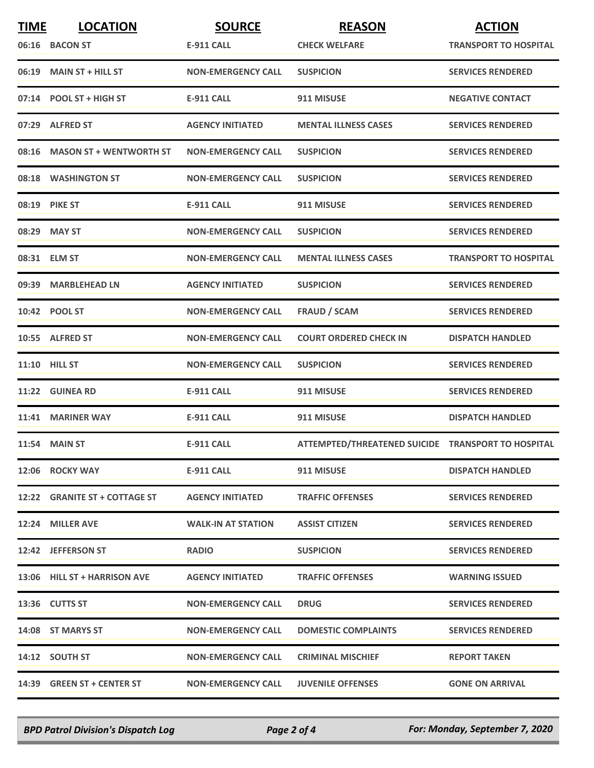| <b>TIME</b> | <b>LOCATION</b>               | <b>SOURCE</b>             | <b>REASON</b>                                      | <b>ACTION</b>                |
|-------------|-------------------------------|---------------------------|----------------------------------------------------|------------------------------|
|             | 06:16 BACON ST                | <b>E-911 CALL</b>         | <b>CHECK WELFARE</b>                               | <b>TRANSPORT TO HOSPITAL</b> |
|             | 06:19 MAIN ST + HILL ST       | <b>NON-EMERGENCY CALL</b> | <b>SUSPICION</b>                                   | <b>SERVICES RENDERED</b>     |
|             | 07:14 POOL ST + HIGH ST       | <b>E-911 CALL</b>         | 911 MISUSE                                         | <b>NEGATIVE CONTACT</b>      |
|             | 07:29 ALFRED ST               | <b>AGENCY INITIATED</b>   | <b>MENTAL ILLNESS CASES</b>                        | <b>SERVICES RENDERED</b>     |
|             | 08:16 MASON ST + WENTWORTH ST | <b>NON-EMERGENCY CALL</b> | <b>SUSPICION</b>                                   | <b>SERVICES RENDERED</b>     |
|             | 08:18 WASHINGTON ST           | <b>NON-EMERGENCY CALL</b> | <b>SUSPICION</b>                                   | <b>SERVICES RENDERED</b>     |
|             | 08:19 PIKE ST                 | <b>E-911 CALL</b>         | 911 MISUSE                                         | <b>SERVICES RENDERED</b>     |
|             | 08:29 MAY ST                  | <b>NON-EMERGENCY CALL</b> | <b>SUSPICION</b>                                   | <b>SERVICES RENDERED</b>     |
|             | 08:31 ELM ST                  | <b>NON-EMERGENCY CALL</b> | <b>MENTAL ILLNESS CASES</b>                        | <b>TRANSPORT TO HOSPITAL</b> |
| 09:39       | <b>MARBLEHEAD LN</b>          | <b>AGENCY INITIATED</b>   | <b>SUSPICION</b>                                   | <b>SERVICES RENDERED</b>     |
|             | 10:42 POOL ST                 | <b>NON-EMERGENCY CALL</b> | <b>FRAUD / SCAM</b>                                | <b>SERVICES RENDERED</b>     |
|             | 10:55 ALFRED ST               | <b>NON-EMERGENCY CALL</b> | <b>COURT ORDERED CHECK IN</b>                      | <b>DISPATCH HANDLED</b>      |
|             | 11:10 HILL ST                 | <b>NON-EMERGENCY CALL</b> | <b>SUSPICION</b>                                   | <b>SERVICES RENDERED</b>     |
|             | 11:22 GUINEA RD               | E-911 CALL                | 911 MISUSE                                         | <b>SERVICES RENDERED</b>     |
|             | 11:41 MARINER WAY             | <b>E-911 CALL</b>         | 911 MISUSE                                         | <b>DISPATCH HANDLED</b>      |
|             | <b>11:54 MAIN ST</b>          | <b>E-911 CALL</b>         | ATTEMPTED/THREATENED SUICIDE TRANSPORT TO HOSPITAL |                              |
|             | 12:06 ROCKY WAY               | E-911 CALL                | 911 MISUSE                                         | <b>DISPATCH HANDLED</b>      |
|             | 12:22 GRANITE ST + COTTAGE ST | <b>AGENCY INITIATED</b>   | <b>TRAFFIC OFFENSES</b>                            | <b>SERVICES RENDERED</b>     |
|             | 12:24 MILLER AVE              | <b>WALK-IN AT STATION</b> | <b>ASSIST CITIZEN</b>                              | <b>SERVICES RENDERED</b>     |
|             | 12:42 JEFFERSON ST            | <b>RADIO</b>              | <b>SUSPICION</b>                                   | <b>SERVICES RENDERED</b>     |
|             | 13:06 HILL ST + HARRISON AVE  | <b>AGENCY INITIATED</b>   | <b>TRAFFIC OFFENSES</b>                            | <b>WARNING ISSUED</b>        |
|             | 13:36 CUTTS ST                | <b>NON-EMERGENCY CALL</b> | <b>DRUG</b>                                        | <b>SERVICES RENDERED</b>     |
|             | 14:08 ST MARYS ST             | <b>NON-EMERGENCY CALL</b> | <b>DOMESTIC COMPLAINTS</b>                         | <b>SERVICES RENDERED</b>     |
|             | 14:12 SOUTH ST                | <b>NON-EMERGENCY CALL</b> | <b>CRIMINAL MISCHIEF</b>                           | <b>REPORT TAKEN</b>          |
|             | 14:39 GREEN ST + CENTER ST    | <b>NON-EMERGENCY CALL</b> | <b>JUVENILE OFFENSES</b>                           | <b>GONE ON ARRIVAL</b>       |

*BPD Patrol Division's Dispatch Log Page 2 of 4 For: Monday, September 7, 2020*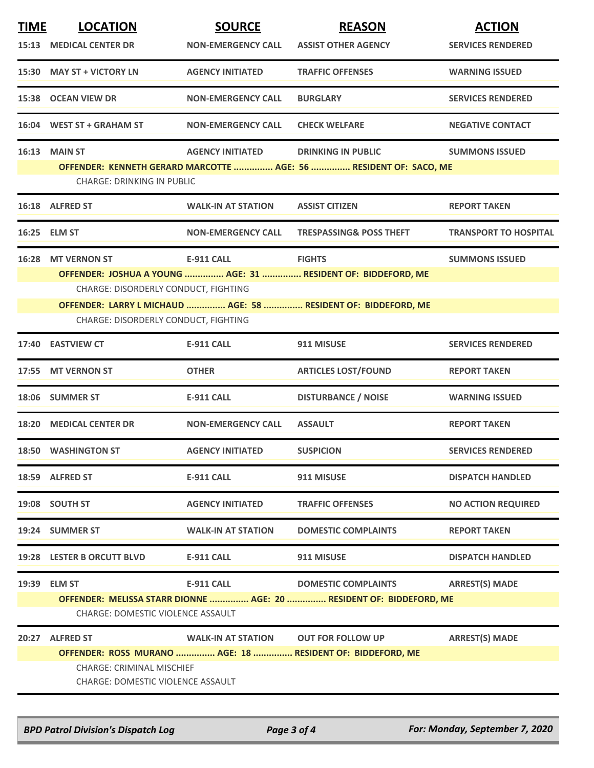| <b>TIME</b><br><b>LOCATION</b>           | <b>SOURCE</b>             | <b>REASON</b>                                                       | <b>ACTION</b>                                                                                                                                                                                        |  |  |
|------------------------------------------|---------------------------|---------------------------------------------------------------------|------------------------------------------------------------------------------------------------------------------------------------------------------------------------------------------------------|--|--|
| <b>15:13 MEDICAL CENTER DR</b>           | <b>NON-EMERGENCY CALL</b> | <b>ASSIST OTHER AGENCY</b>                                          | <b>SERVICES RENDERED</b>                                                                                                                                                                             |  |  |
| 15:30 MAY ST + VICTORY LN                | <b>AGENCY INITIATED</b>   | <b>TRAFFIC OFFENSES</b>                                             | <b>WARNING ISSUED</b>                                                                                                                                                                                |  |  |
| 15:38 OCEAN VIEW DR                      | <b>NON-EMERGENCY CALL</b> | <b>BURGLARY</b>                                                     | <b>SERVICES RENDERED</b>                                                                                                                                                                             |  |  |
| 16:04 WEST ST + GRAHAM ST                | <b>NON-EMERGENCY CALL</b> | <b>CHECK WELFARE</b>                                                | <b>NEGATIVE CONTACT</b>                                                                                                                                                                              |  |  |
| 16:13 MAIN ST                            | <b>AGENCY INITIATED</b>   | <b>DRINKING IN PUBLIC</b>                                           | <b>SUMMONS ISSUED</b>                                                                                                                                                                                |  |  |
|                                          |                           |                                                                     |                                                                                                                                                                                                      |  |  |
| 16:18 ALFRED ST                          | <b>WALK-IN AT STATION</b> | <b>ASSIST CITIZEN</b>                                               | <b>REPORT TAKEN</b>                                                                                                                                                                                  |  |  |
| 16:25 ELM ST                             | <b>NON-EMERGENCY CALL</b> | <b>TRESPASSING&amp; POSS THEFT</b>                                  | <b>TRANSPORT TO HOSPITAL</b>                                                                                                                                                                         |  |  |
| 16:28 MT VERNON ST                       | <b>E-911 CALL</b>         | <b>FIGHTS</b>                                                       | <b>SUMMONS ISSUED</b>                                                                                                                                                                                |  |  |
|                                          |                           |                                                                     |                                                                                                                                                                                                      |  |  |
|                                          |                           |                                                                     |                                                                                                                                                                                                      |  |  |
| CHARGE: DISORDERLY CONDUCT, FIGHTING     |                           |                                                                     |                                                                                                                                                                                                      |  |  |
| 17:40 EASTVIEW CT                        | <b>E-911 CALL</b>         | 911 MISUSE                                                          | <b>SERVICES RENDERED</b>                                                                                                                                                                             |  |  |
| 17:55 MT VERNON ST                       | <b>OTHER</b>              | <b>ARTICLES LOST/FOUND</b>                                          | <b>REPORT TAKEN</b>                                                                                                                                                                                  |  |  |
| 18:06 SUMMER ST                          | <b>E-911 CALL</b>         | <b>DISTURBANCE / NOISE</b>                                          | <b>WARNING ISSUED</b>                                                                                                                                                                                |  |  |
| 18:20 MEDICAL CENTER DR                  | <b>NON-EMERGENCY CALL</b> | <b>ASSAULT</b>                                                      | <b>REPORT TAKEN</b>                                                                                                                                                                                  |  |  |
|                                          |                           |                                                                     |                                                                                                                                                                                                      |  |  |
| <b>18:50 WASHINGTON ST</b>               | <b>AGENCY INITIATED</b>   | <b>SUSPICION</b>                                                    | <b>SERVICES RENDERED</b>                                                                                                                                                                             |  |  |
| 18:59 ALFRED ST                          | <b>E-911 CALL</b>         | 911 MISUSE                                                          | <b>DISPATCH HANDLED</b>                                                                                                                                                                              |  |  |
| 19:08 SOUTH ST                           | <b>AGENCY INITIATED</b>   | <b>TRAFFIC OFFENSES</b>                                             | <b>NO ACTION REQUIRED</b>                                                                                                                                                                            |  |  |
| 19:24 SUMMER ST                          | <b>WALK-IN AT STATION</b> | <b>DOMESTIC COMPLAINTS</b>                                          | <b>REPORT TAKEN</b>                                                                                                                                                                                  |  |  |
| 19:28 LESTER B ORCUTT BLVD               | <b>E-911 CALL</b>         | 911 MISUSE                                                          | <b>DISPATCH HANDLED</b>                                                                                                                                                                              |  |  |
| 19:39 ELM ST                             | <b>E-911 CALL</b>         | <b>DOMESTIC COMPLAINTS</b>                                          | <b>ARREST(S) MADE</b>                                                                                                                                                                                |  |  |
| <b>CHARGE: DOMESTIC VIOLENCE ASSAULT</b> |                           | OFFENDER: MELISSA STARR DIONNE  AGE: 20  RESIDENT OF: BIDDEFORD, ME |                                                                                                                                                                                                      |  |  |
| 20:27 ALFRED ST                          | WALK-IN AT STATION        | <b>OUT FOR FOLLOW UP</b>                                            | <b>ARREST(S) MADE</b>                                                                                                                                                                                |  |  |
| <b>CHARGE: CRIMINAL MISCHIEF</b>         |                           | OFFENDER: ROSS MURANO  AGE: 18  RESIDENT OF: BIDDEFORD, ME          |                                                                                                                                                                                                      |  |  |
|                                          |                           | CHARGE: DRINKING IN PUBLIC<br>CHARGE: DISORDERLY CONDUCT, FIGHTING  | OFFENDER: KENNETH GERARD MARCOTTE  AGE: 56  RESIDENT OF: SACO, ME<br>OFFENDER: JOSHUA A YOUNG  AGE: 31  RESIDENT OF: BIDDEFORD, ME<br>OFFENDER: LARRY L MICHAUD  AGE: 58  RESIDENT OF: BIDDEFORD, ME |  |  |